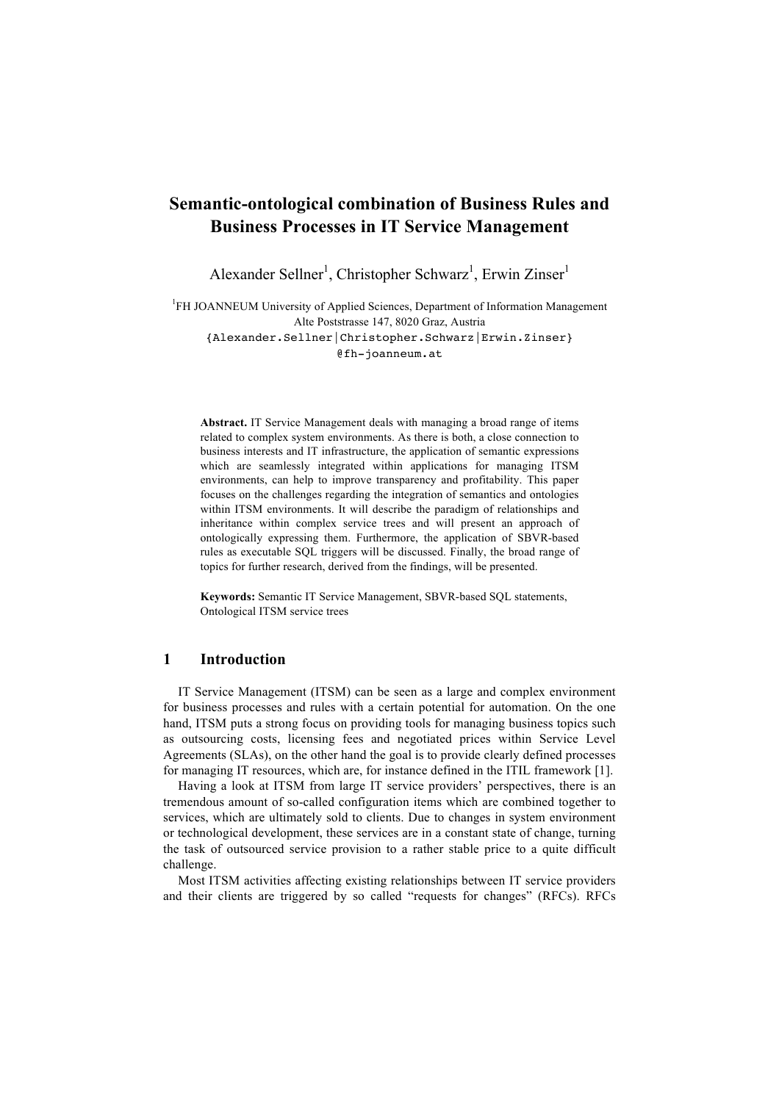# **Semantic-ontological combination of Business Rules and Business Processes in IT Service Management**

Alexander Sellner<sup>1</sup>, Christopher Schwarz<sup>1</sup>, Erwin Zinser<sup>1</sup>

<sup>1</sup>FH JOANNEUM University of Applied Sciences, Department of Information Management Alte Poststrasse 147, 8020 Graz, Austria {Alexander.Sellner|Christopher.Schwarz|Erwin.Zinser}

@fh-joanneum.at

**Abstract.** IT Service Management deals with managing a broad range of items related to complex system environments. As there is both, a close connection to business interests and IT infrastructure, the application of semantic expressions which are seamlessly integrated within applications for managing ITSM environments, can help to improve transparency and profitability. This paper focuses on the challenges regarding the integration of semantics and ontologies within ITSM environments. It will describe the paradigm of relationships and inheritance within complex service trees and will present an approach of ontologically expressing them. Furthermore, the application of SBVR-based rules as executable SQL triggers will be discussed. Finally, the broad range of topics for further research, derived from the findings, will be presented.

**Keywords:** Semantic IT Service Management, SBVR-based SQL statements, Ontological ITSM service trees

## **1 Introduction**

IT Service Management (ITSM) can be seen as a large and complex environment for business processes and rules with a certain potential for automation. On the one hand, ITSM puts a strong focus on providing tools for managing business topics such as outsourcing costs, licensing fees and negotiated prices within Service Level Agreements (SLAs), on the other hand the goal is to provide clearly defined processes for managing IT resources, which are, for instance defined in the ITIL framework [1].

Having a look at ITSM from large IT service providers' perspectives, there is an tremendous amount of so-called configuration items which are combined together to services, which are ultimately sold to clients. Due to changes in system environment or technological development, these services are in a constant state of change, turning the task of outsourced service provision to a rather stable price to a quite difficult challenge.

Most ITSM activities affecting existing relationships between IT service providers and their clients are triggered by so called "requests for changes" (RFCs). RFCs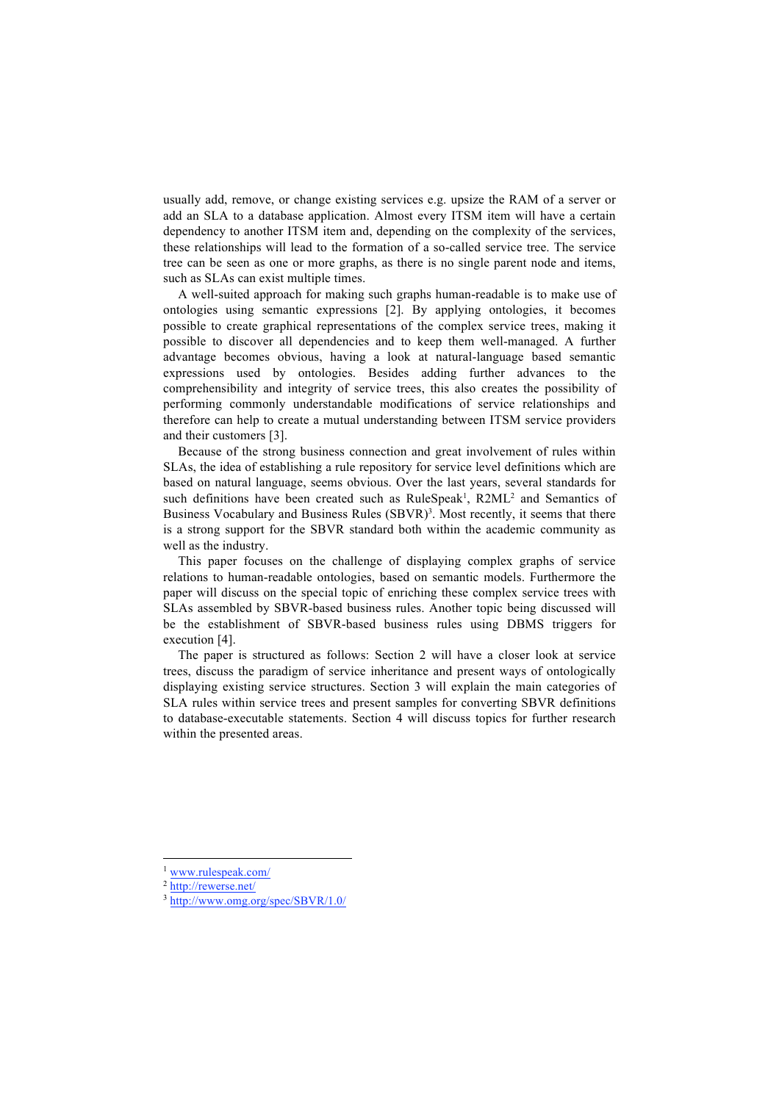usually add, remove, or change existing services e.g. upsize the RAM of a server or add an SLA to a database application. Almost every ITSM item will have a certain dependency to another ITSM item and, depending on the complexity of the services, these relationships will lead to the formation of a so-called service tree. The service tree can be seen as one or more graphs, as there is no single parent node and items, such as SLAs can exist multiple times.

A well-suited approach for making such graphs human-readable is to make use of ontologies using semantic expressions [2]. By applying ontologies, it becomes possible to create graphical representations of the complex service trees, making it possible to discover all dependencies and to keep them well-managed. A further advantage becomes obvious, having a look at natural-language based semantic expressions used by ontologies. Besides adding further advances to the comprehensibility and integrity of service trees, this also creates the possibility of performing commonly understandable modifications of service relationships and therefore can help to create a mutual understanding between ITSM service providers and their customers [3].

Because of the strong business connection and great involvement of rules within SLAs, the idea of establishing a rule repository for service level definitions which are based on natural language, seems obvious. Over the last years, several standards for such definitions have been created such as RuleSpeak<sup>1</sup>, R2ML<sup>2</sup> and Semantics of Business Vocabulary and Business Rules (SBVR)<sup>3</sup>. Most recently, it seems that there is a strong support for the SBVR standard both within the academic community as well as the industry.

This paper focuses on the challenge of displaying complex graphs of service relations to human-readable ontologies, based on semantic models. Furthermore the paper will discuss on the special topic of enriching these complex service trees with SLAs assembled by SBVR-based business rules. Another topic being discussed will be the establishment of SBVR-based business rules using DBMS triggers for execution [4].

The paper is structured as follows: Section 2 will have a closer look at service trees, discuss the paradigm of service inheritance and present ways of ontologically displaying existing service structures. Section 3 will explain the main categories of SLA rules within service trees and present samples for converting SBVR definitions to database-executable statements. Section 4 will discuss topics for further research within the presented areas.

 <sup>1</sup> www.rulespeak.com/

<sup>2</sup> http://rewerse.net/

<sup>3</sup> http://www.omg.org/spec/SBVR/1.0/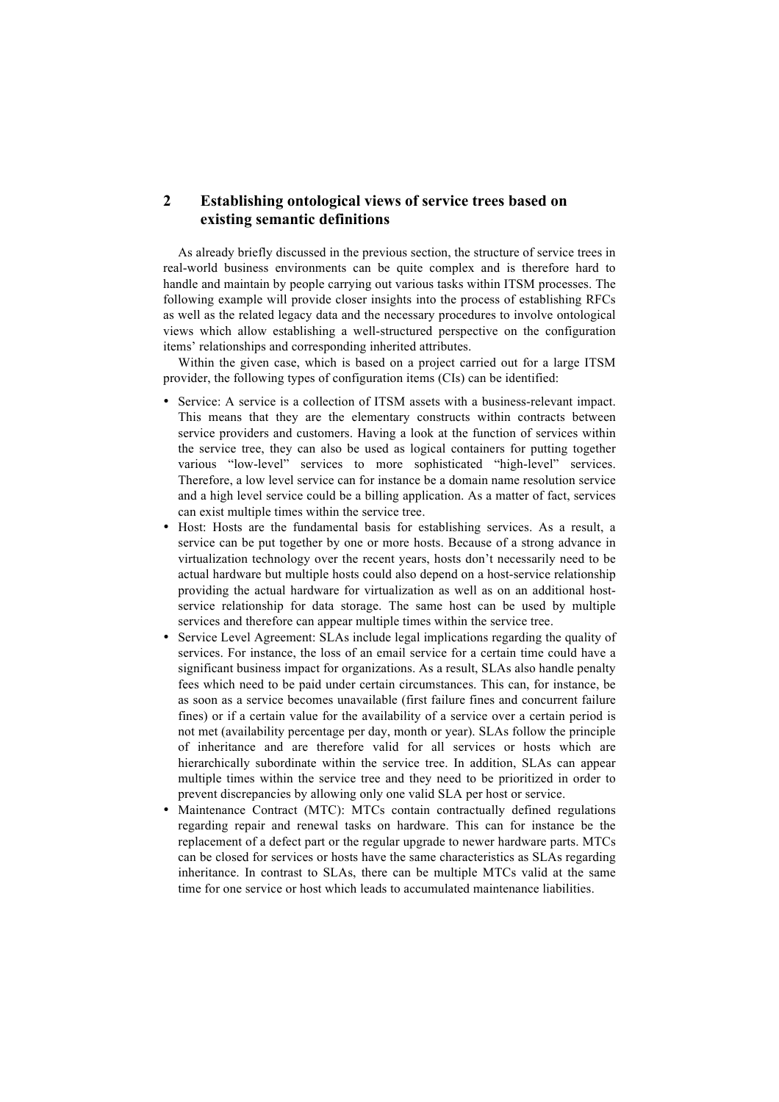# **2 Establishing ontological views of service trees based on existing semantic definitions**

As already briefly discussed in the previous section, the structure of service trees in real-world business environments can be quite complex and is therefore hard to handle and maintain by people carrying out various tasks within ITSM processes. The following example will provide closer insights into the process of establishing RFCs as well as the related legacy data and the necessary procedures to involve ontological views which allow establishing a well-structured perspective on the configuration items' relationships and corresponding inherited attributes.

Within the given case, which is based on a project carried out for a large ITSM provider, the following types of configuration items (CIs) can be identified:

- Service: A service is a collection of ITSM assets with a business-relevant impact. This means that they are the elementary constructs within contracts between service providers and customers. Having a look at the function of services within the service tree, they can also be used as logical containers for putting together various "low-level" services to more sophisticated "high-level" services. Therefore, a low level service can for instance be a domain name resolution service and a high level service could be a billing application. As a matter of fact, services can exist multiple times within the service tree.
- Host: Hosts are the fundamental basis for establishing services. As a result, a service can be put together by one or more hosts. Because of a strong advance in virtualization technology over the recent years, hosts don't necessarily need to be actual hardware but multiple hosts could also depend on a host-service relationship providing the actual hardware for virtualization as well as on an additional hostservice relationship for data storage. The same host can be used by multiple services and therefore can appear multiple times within the service tree.
- Service Level Agreement: SLAs include legal implications regarding the quality of services. For instance, the loss of an email service for a certain time could have a significant business impact for organizations. As a result, SLAs also handle penalty fees which need to be paid under certain circumstances. This can, for instance, be as soon as a service becomes unavailable (first failure fines and concurrent failure fines) or if a certain value for the availability of a service over a certain period is not met (availability percentage per day, month or year). SLAs follow the principle of inheritance and are therefore valid for all services or hosts which are hierarchically subordinate within the service tree. In addition, SLAs can appear multiple times within the service tree and they need to be prioritized in order to prevent discrepancies by allowing only one valid SLA per host or service.
- Maintenance Contract (MTC): MTCs contain contractually defined regulations regarding repair and renewal tasks on hardware. This can for instance be the replacement of a defect part or the regular upgrade to newer hardware parts. MTCs can be closed for services or hosts have the same characteristics as SLAs regarding inheritance. In contrast to SLAs, there can be multiple MTCs valid at the same time for one service or host which leads to accumulated maintenance liabilities.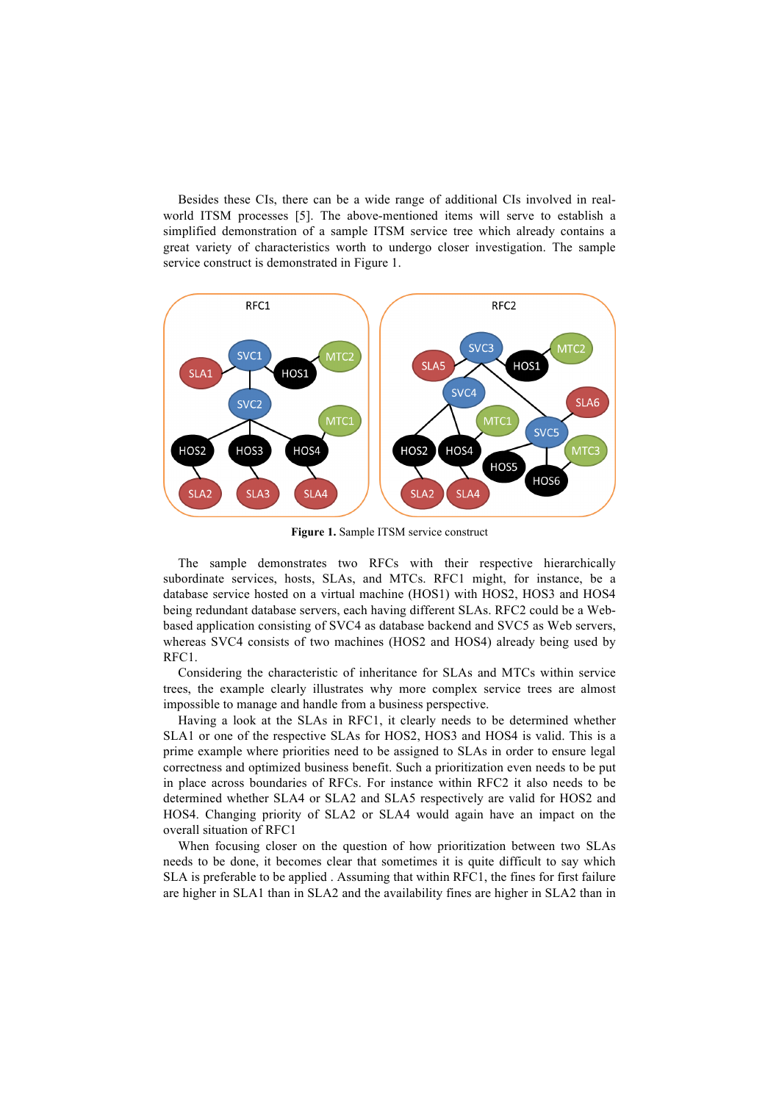Besides these CIs, there can be a wide range of additional CIs involved in realworld ITSM processes [5]. The above-mentioned items will serve to establish a simplified demonstration of a sample ITSM service tree which already contains a great variety of characteristics worth to undergo closer investigation. The sample service construct is demonstrated in Figure 1.



**Figure 1.** Sample ITSM service construct

The sample demonstrates two RFCs with their respective hierarchically subordinate services, hosts, SLAs, and MTCs. RFC1 might, for instance, be a database service hosted on a virtual machine (HOS1) with HOS2, HOS3 and HOS4 being redundant database servers, each having different SLAs. RFC2 could be a Webbased application consisting of SVC4 as database backend and SVC5 as Web servers, whereas SVC4 consists of two machines (HOS2 and HOS4) already being used by RFC1.

Considering the characteristic of inheritance for SLAs and MTCs within service trees, the example clearly illustrates why more complex service trees are almost impossible to manage and handle from a business perspective.

Having a look at the SLAs in RFC1, it clearly needs to be determined whether SLA1 or one of the respective SLAs for HOS2, HOS3 and HOS4 is valid. This is a prime example where priorities need to be assigned to SLAs in order to ensure legal correctness and optimized business benefit. Such a prioritization even needs to be put in place across boundaries of RFCs. For instance within RFC2 it also needs to be determined whether SLA4 or SLA2 and SLA5 respectively are valid for HOS2 and HOS4. Changing priority of SLA2 or SLA4 would again have an impact on the overall situation of RFC1

When focusing closer on the question of how prioritization between two SLAs needs to be done, it becomes clear that sometimes it is quite difficult to say which SLA is preferable to be applied . Assuming that within RFC1, the fines for first failure are higher in SLA1 than in SLA2 and the availability fines are higher in SLA2 than in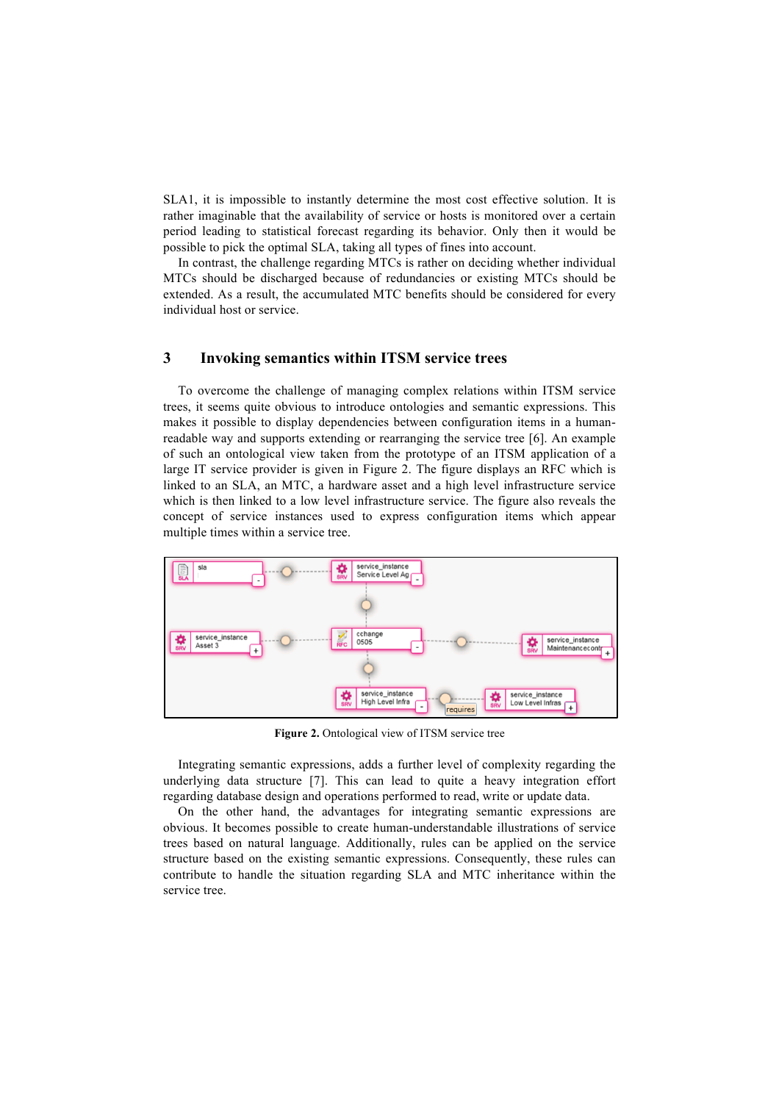SLA1, it is impossible to instantly determine the most cost effective solution. It is rather imaginable that the availability of service or hosts is monitored over a certain period leading to statistical forecast regarding its behavior. Only then it would be possible to pick the optimal SLA, taking all types of fines into account.

In contrast, the challenge regarding MTCs is rather on deciding whether individual MTCs should be discharged because of redundancies or existing MTCs should be extended. As a result, the accumulated MTC benefits should be considered for every individual host or service.

#### **3 Invoking semantics within ITSM service trees**

To overcome the challenge of managing complex relations within ITSM service trees, it seems quite obvious to introduce ontologies and semantic expressions. This makes it possible to display dependencies between configuration items in a humanreadable way and supports extending or rearranging the service tree [6]. An example of such an ontological view taken from the prototype of an ITSM application of a large IT service provider is given in Figure 2. The figure displays an RFC which is linked to an SLA, an MTC, a hardware asset and a high level infrastructure service which is then linked to a low level infrastructure service. The figure also reveals the concept of service instances used to express configuration items which appear multiple times within a service tree.



**Figure 2.** Ontological view of ITSM service tree

Integrating semantic expressions, adds a further level of complexity regarding the underlying data structure [7]. This can lead to quite a heavy integration effort regarding database design and operations performed to read, write or update data.

On the other hand, the advantages for integrating semantic expressions are obvious. It becomes possible to create human-understandable illustrations of service trees based on natural language. Additionally, rules can be applied on the service structure based on the existing semantic expressions. Consequently, these rules can contribute to handle the situation regarding SLA and MTC inheritance within the service tree.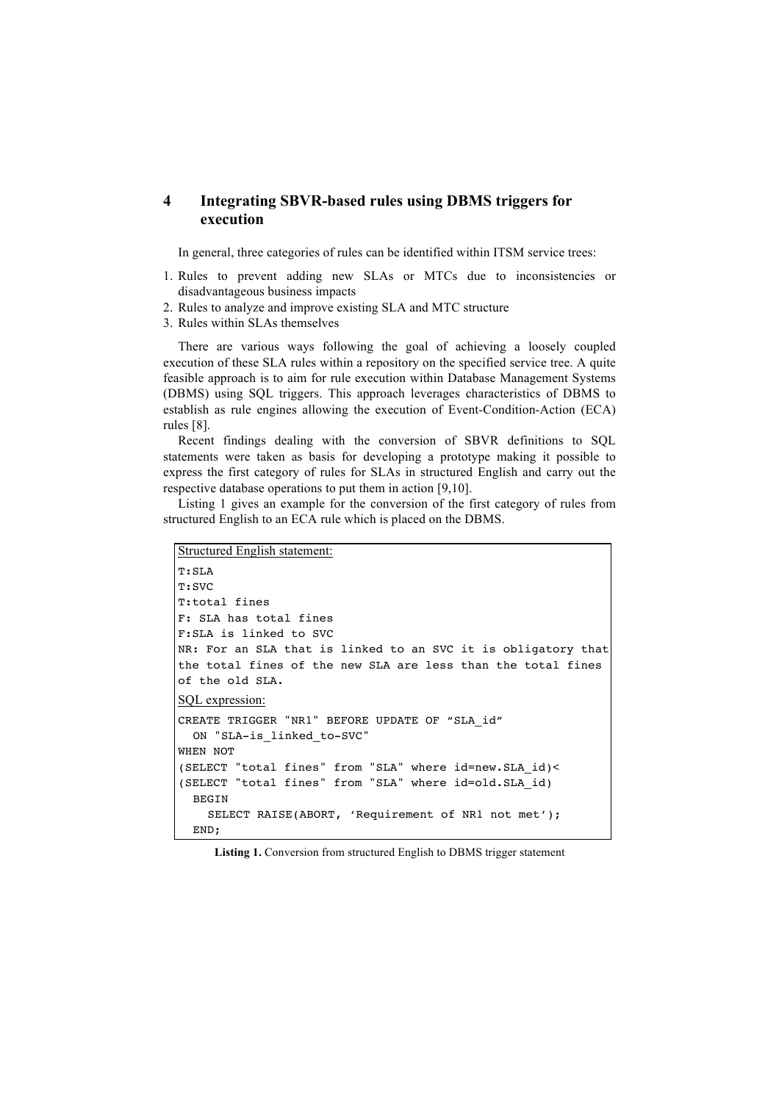## **4 Integrating SBVR-based rules using DBMS triggers for execution**

In general, three categories of rules can be identified within ITSM service trees:

- 1. Rules to prevent adding new SLAs or MTCs due to inconsistencies or disadvantageous business impacts
- 2. Rules to analyze and improve existing SLA and MTC structure
- 3. Rules within SLAs themselves

There are various ways following the goal of achieving a loosely coupled execution of these SLA rules within a repository on the specified service tree. A quite feasible approach is to aim for rule execution within Database Management Systems (DBMS) using SQL triggers. This approach leverages characteristics of DBMS to establish as rule engines allowing the execution of Event-Condition-Action (ECA) rules [8].

Recent findings dealing with the conversion of SBVR definitions to SQL statements were taken as basis for developing a prototype making it possible to express the first category of rules for SLAs in structured English and carry out the respective database operations to put them in action [9,10].

Listing 1 gives an example for the conversion of the first category of rules from structured English to an ECA rule which is placed on the DBMS.

```
Structured English statement:
T:SLA
T:SVC
T:total fines
F: SLA has total fines
F:SLA is linked to SVC
NR: For an SLA that is linked to an SVC it is obligatory that 
the total fines of the new SLA are less than the total fines 
of the old SLA.
SQL expression:
CREATE TRIGGER "NR1" BEFORE UPDATE OF "SLA_id" 
  ON "SLA-is_linked_to-SVC"
WHEN NOT 
(SELECT "total fines" from "SLA" where id=new.SLA_id)<
(SELECT "total fines" from "SLA" where id=old.SLA_id)
  BEGIN
    SELECT RAISE(ABORT, 'Requirement of NR1 not met');
  END;
```
**Listing 1.** Conversion from structured English to DBMS trigger statement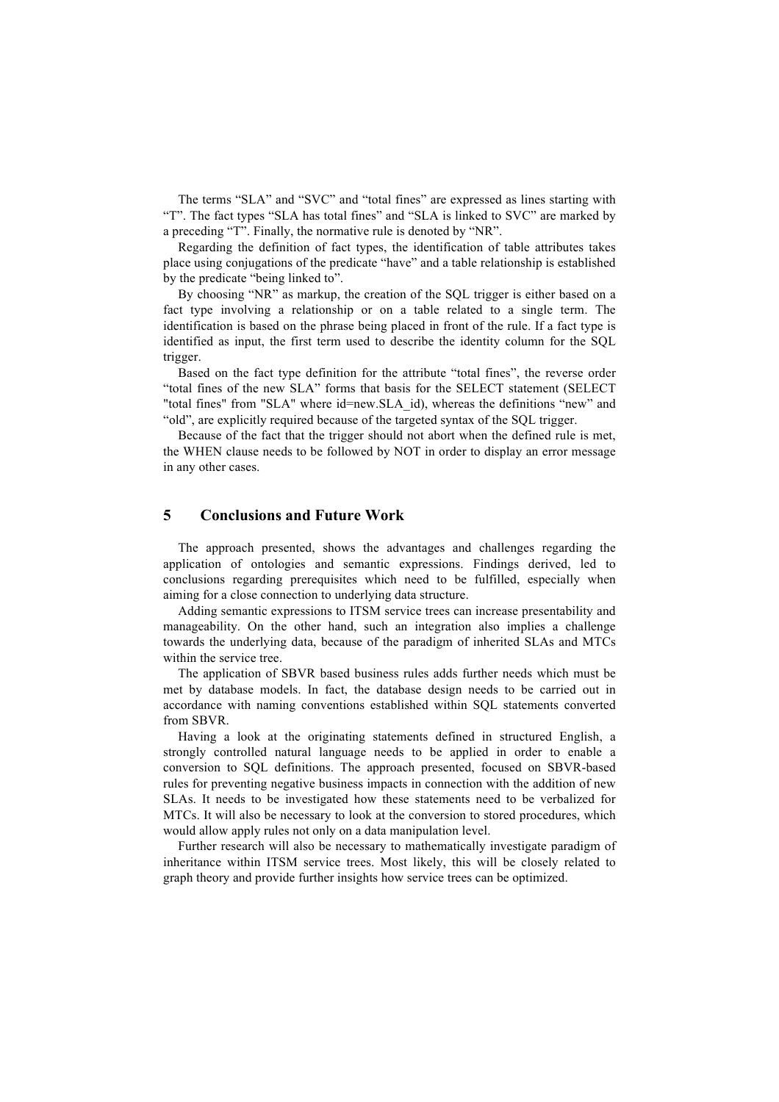The terms "SLA" and "SVC" and "total fines" are expressed as lines starting with "T". The fact types "SLA has total fines" and "SLA is linked to SVC" are marked by a preceding "T". Finally, the normative rule is denoted by "NR".

Regarding the definition of fact types, the identification of table attributes takes place using conjugations of the predicate "have" and a table relationship is established by the predicate "being linked to".

By choosing "NR" as markup, the creation of the SQL trigger is either based on a fact type involving a relationship or on a table related to a single term. The identification is based on the phrase being placed in front of the rule. If a fact type is identified as input, the first term used to describe the identity column for the SQL trigger.

Based on the fact type definition for the attribute "total fines", the reverse order "total fines of the new SLA" forms that basis for the SELECT statement (SELECT "total fines" from "SLA" where id=new.SLA id), whereas the definitions "new" and "old", are explicitly required because of the targeted syntax of the SQL trigger.

Because of the fact that the trigger should not abort when the defined rule is met, the WHEN clause needs to be followed by NOT in order to display an error message in any other cases.

#### **5 Conclusions and Future Work**

The approach presented, shows the advantages and challenges regarding the application of ontologies and semantic expressions. Findings derived, led to conclusions regarding prerequisites which need to be fulfilled, especially when aiming for a close connection to underlying data structure.

Adding semantic expressions to ITSM service trees can increase presentability and manageability. On the other hand, such an integration also implies a challenge towards the underlying data, because of the paradigm of inherited SLAs and MTCs within the service tree.

The application of SBVR based business rules adds further needs which must be met by database models. In fact, the database design needs to be carried out in accordance with naming conventions established within SQL statements converted from SBVR.

Having a look at the originating statements defined in structured English, a strongly controlled natural language needs to be applied in order to enable a conversion to SQL definitions. The approach presented, focused on SBVR-based rules for preventing negative business impacts in connection with the addition of new SLAs. It needs to be investigated how these statements need to be verbalized for MTCs. It will also be necessary to look at the conversion to stored procedures, which would allow apply rules not only on a data manipulation level.

Further research will also be necessary to mathematically investigate paradigm of inheritance within ITSM service trees. Most likely, this will be closely related to graph theory and provide further insights how service trees can be optimized.